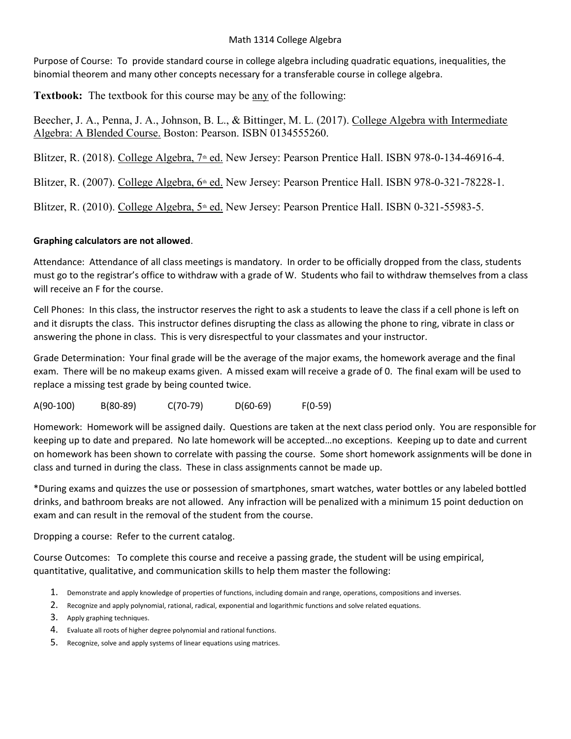#### Math 1314 College Algebra

Purpose of Course: To provide standard course in college algebra including quadratic equations, inequalities, the binomial theorem and many other concepts necessary for a transferable course in college algebra.

Textbook: The textbook for this course may be any of the following:

Beecher, J. A., Penna, J. A., Johnson, B. L., & Bittinger, M. L. (2017). College Algebra with Intermediate Algebra: A Blended Course. Boston: Pearson. ISBN 0134555260.

Blitzer, R. (2018). College Algebra, 7<sup>th</sup> ed. New Jersey: Pearson Prentice Hall. ISBN 978-0-134-46916-4.

Blitzer, R. (2007). College Algebra, 6<sup>th</sup> ed. New Jersey: Pearson Prentice Hall. ISBN 978-0-321-78228-1.

Blitzer, R. (2010). College Algebra,  $5<sup>th</sup>$  ed. New Jersey: Pearson Prentice Hall. ISBN 0-321-55983-5.

# Graphing calculators are not allowed.

Attendance: Attendance of all class meetings is mandatory. In order to be officially dropped from the class, students must go to the registrar's office to withdraw with a grade of W. Students who fail to withdraw themselves from a class will receive an F for the course.

Cell Phones: In this class, the instructor reserves the right to ask a students to leave the class if a cell phone is left on and it disrupts the class. This instructor defines disrupting the class as allowing the phone to ring, vibrate in class or answering the phone in class. This is very disrespectful to your classmates and your instructor.

Grade Determination: Your final grade will be the average of the major exams, the homework average and the final exam. There will be no makeup exams given. A missed exam will receive a grade of 0. The final exam will be used to replace a missing test grade by being counted twice.

A(90-100) B(80-89) C(70-79) D(60-69) F(0-59)

Homework: Homework will be assigned daily. Questions are taken at the next class period only. You are responsible for keeping up to date and prepared. No late homework will be accepted…no exceptions. Keeping up to date and current on homework has been shown to correlate with passing the course. Some short homework assignments will be done in class and turned in during the class. These in class assignments cannot be made up.

\*During exams and quizzes the use or possession of smartphones, smart watches, water bottles or any labeled bottled drinks, and bathroom breaks are not allowed. Any infraction will be penalized with a minimum 15 point deduction on exam and can result in the removal of the student from the course.

Dropping a course: Refer to the current catalog.

Course Outcomes: To complete this course and receive a passing grade, the student will be using empirical, quantitative, qualitative, and communication skills to help them master the following:

- 1. Demonstrate and apply knowledge of properties of functions, including domain and range, operations, compositions and inverses.
- 2. Recognize and apply polynomial, rational, radical, exponential and logarithmic functions and solve related equations.
- 3. Apply graphing techniques.
- 4. Evaluate all roots of higher degree polynomial and rational functions.
- 5. Recognize, solve and apply systems of linear equations using matrices.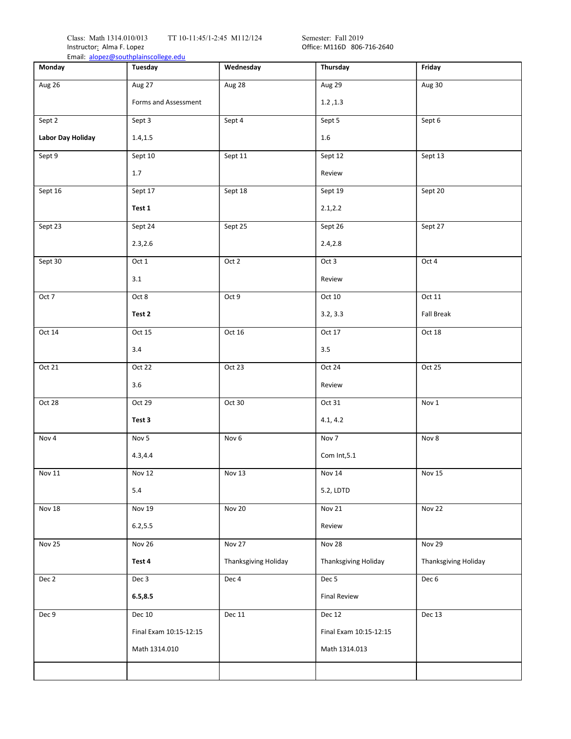Class: Math 1314.010/013 TT 10-11:45/1-2:45 M112/124 Semester: Fall 2019 Instructor<u>:</u> Alma F. Lopez **Communist Communist Communist Communist Communist Communist Communist Communist Communist Communist Communist Communist Communist Communist Communist Communist Communist Communist Communist Com** 

| Monday            | Email: alopez@southplainscollege.edu<br>Tuesday | Wednesday                   | Thursday                    | Friday               |
|-------------------|-------------------------------------------------|-----------------------------|-----------------------------|----------------------|
| Aug 26            | Aug 27                                          | Aug 28                      | Aug 29                      | Aug 30               |
|                   | Forms and Assessment                            |                             | 1.2, 1.3                    |                      |
| Sept 2            | Sept 3                                          | Sept 4                      | Sept 5                      | Sept 6               |
| Labor Day Holiday | 1.4, 1.5                                        |                             | 1.6                         |                      |
| Sept 9            | Sept 10                                         | Sept 11                     | Sept 12                     | Sept 13              |
|                   | 1.7                                             |                             | Review                      |                      |
| Sept 16           | Sept 17                                         | Sept 18                     | Sept 19                     | Sept 20              |
|                   | Test 1                                          |                             | 2.1, 2.2                    |                      |
| Sept 23           | Sept 24                                         | Sept 25                     | Sept 26                     | Sept 27              |
|                   | 2.3,2.6                                         |                             | 2.4, 2.8                    |                      |
| Sept 30           | Oct 1                                           | Oct 2                       | Oct 3                       | Oct 4                |
|                   | 3.1                                             |                             | Review                      |                      |
| Oct 7             | Oct 8                                           | Oct 9                       | Oct 10                      | Oct 11               |
|                   | Test 2                                          |                             | 3.2, 3.3                    | <b>Fall Break</b>    |
| Oct 14            | Oct 15                                          | Oct 16                      | Oct 17                      | Oct 18               |
|                   | 3.4                                             |                             | 3.5                         |                      |
| Oct 21            | Oct 22                                          | Oct 23                      | Oct 24                      | Oct 25               |
|                   | 3.6                                             |                             | Review                      |                      |
| Oct 28            | Oct 29                                          | Oct 30                      | Oct 31                      | Nov 1                |
|                   | Test 3                                          |                             | 4.1, 4.2                    |                      |
| Nov 4             | Nov 5                                           | Nov <sub>6</sub>            | Nov 7                       | Nov 8                |
|                   | 4.3, 4.4                                        |                             | Com Int, 5.1                |                      |
| Nov 11            | <b>Nov 12</b>                                   | Nov 13                      | Nov 14                      | Nov 15               |
|                   | 5.4                                             |                             | 5.2, LDTD                   |                      |
| <b>Nov 18</b>     | Nov 19                                          | Nov 20                      | Nov 21                      | Nov 22               |
|                   | 6.2, 5.5                                        |                             | Review                      |                      |
| Nov 25            | Nov 26                                          | Nov 27                      | Nov 28                      | Nov 29               |
|                   | Test 4                                          | <b>Thanksgiving Holiday</b> | <b>Thanksgiving Holiday</b> | Thanksgiving Holiday |
| Dec 2             | Dec 3                                           | Dec 4                       | Dec 5                       | Dec 6                |
|                   | 6.5, 8.5                                        |                             | <b>Final Review</b>         |                      |
| Dec 9             | Dec 10                                          | Dec 11                      | Dec 12                      | Dec 13               |
|                   | Final Exam 10:15-12:15                          |                             | Final Exam 10:15-12:15      |                      |
|                   | Math 1314.010                                   |                             | Math 1314.013               |                      |
|                   |                                                 |                             |                             |                      |
|                   |                                                 |                             |                             |                      |